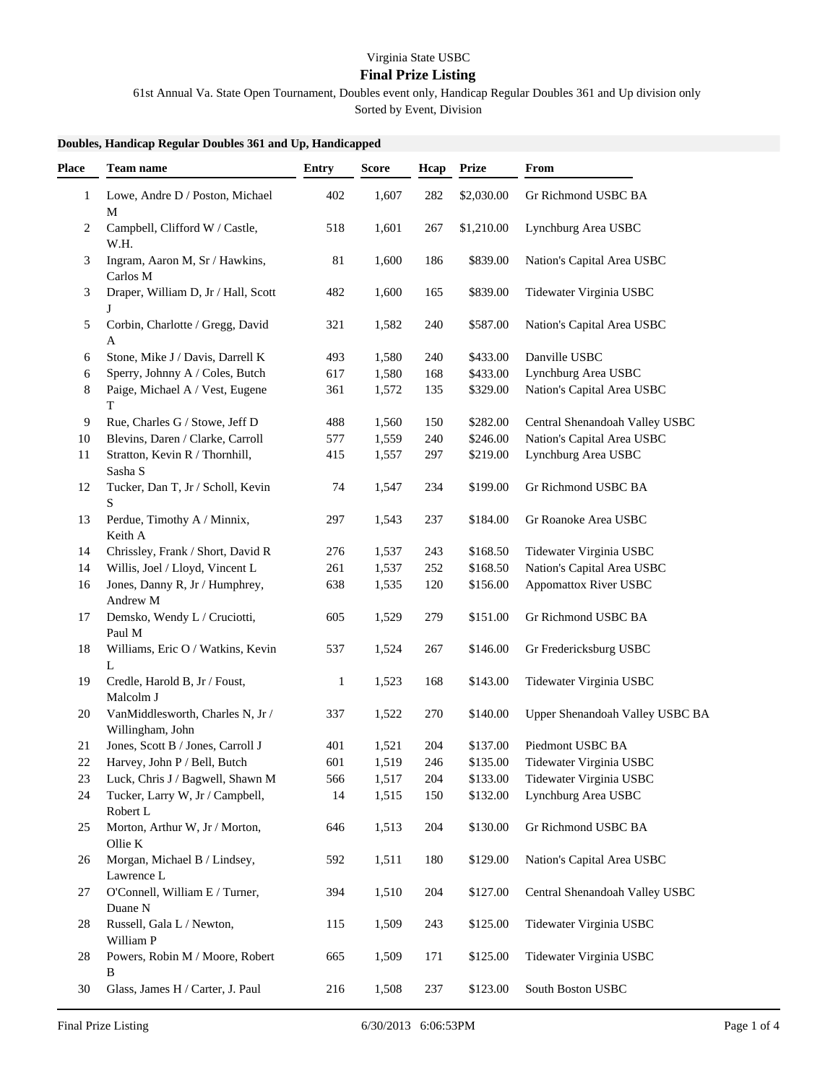## Virginia State USBC

## **Final Prize Listing**

61st Annual Va. State Open Tournament, Doubles event only, Handicap Regular Doubles 361 and Up division only

Sorted by Event, Division

## **Doubles, Handicap Regular Doubles 361 and Up, Handicapped**

| Place        | Team name                                            | <b>Entry</b> | <b>Score</b> | Hcap | <b>Prize</b> | From                            |
|--------------|------------------------------------------------------|--------------|--------------|------|--------------|---------------------------------|
| $\mathbf{1}$ | Lowe, Andre D / Poston, Michael<br>M                 | 402          | 1,607        | 282  | \$2,030.00   | Gr Richmond USBC BA             |
| 2            | Campbell, Clifford W / Castle,<br>W.H.               | 518          | 1,601        | 267  | \$1,210.00   | Lynchburg Area USBC             |
| 3            | Ingram, Aaron M, Sr / Hawkins,<br>Carlos M           | 81           | 1,600        | 186  | \$839.00     | Nation's Capital Area USBC      |
| 3            | Draper, William D, Jr / Hall, Scott                  | 482          | 1,600        | 165  | \$839.00     | Tidewater Virginia USBC         |
| 5            | Corbin, Charlotte / Gregg, David<br>Α                | 321          | 1,582        | 240  | \$587.00     | Nation's Capital Area USBC      |
| 6            | Stone, Mike J / Davis, Darrell K                     | 493          | 1,580        | 240  | \$433.00     | Danville USBC                   |
| 6            | Sperry, Johnny A / Coles, Butch                      | 617          | 1,580        | 168  | \$433.00     | Lynchburg Area USBC             |
| 8            | Paige, Michael A / Vest, Eugene<br>T                 | 361          | 1,572        | 135  | \$329.00     | Nation's Capital Area USBC      |
| 9            | Rue, Charles G / Stowe, Jeff D                       | 488          | 1,560        | 150  | \$282.00     | Central Shenandoah Valley USBC  |
| 10           | Blevins, Daren / Clarke, Carroll                     | 577          | 1,559        | 240  | \$246.00     | Nation's Capital Area USBC      |
| 11           | Stratton, Kevin R / Thornhill,<br>Sasha S            | 415          | 1,557        | 297  | \$219.00     | Lynchburg Area USBC             |
| 12           | Tucker, Dan T, Jr / Scholl, Kevin<br>S               | 74           | 1,547        | 234  | \$199.00     | Gr Richmond USBC BA             |
| 13           | Perdue, Timothy A / Minnix,<br>Keith A               | 297          | 1,543        | 237  | \$184.00     | Gr Roanoke Area USBC            |
| 14           | Chrissley, Frank / Short, David R                    | 276          | 1,537        | 243  | \$168.50     | Tidewater Virginia USBC         |
| 14           | Willis, Joel / Lloyd, Vincent L                      | 261          | 1,537        | 252  | \$168.50     | Nation's Capital Area USBC      |
| 16           | Jones, Danny R, Jr / Humphrey,<br>Andrew M           | 638          | 1,535        | 120  | \$156.00     | <b>Appomattox River USBC</b>    |
| 17           | Demsko, Wendy L / Cruciotti,<br>Paul M               | 605          | 1,529        | 279  | \$151.00     | Gr Richmond USBC BA             |
| 18           | Williams, Eric O / Watkins, Kevin<br>L               | 537          | 1,524        | 267  | \$146.00     | Gr Fredericksburg USBC          |
| 19           | Credle, Harold B, Jr / Foust,<br>Malcolm J           | $\mathbf{1}$ | 1,523        | 168  | \$143.00     | Tidewater Virginia USBC         |
| 20           | VanMiddlesworth, Charles N, Jr /<br>Willingham, John | 337          | 1,522        | 270  | \$140.00     | Upper Shenandoah Valley USBC BA |
| 21           | Jones, Scott B / Jones, Carroll J                    | 401          | 1,521        | 204  | \$137.00     | Piedmont USBC BA                |
| 22           | Harvey, John P / Bell, Butch                         | 601          | 1,519        | 246  | \$135.00     | Tidewater Virginia USBC         |
| 23           | Luck, Chris J / Bagwell, Shawn M                     | 566          | 1,517        | 204  | \$133.00     | Tidewater Virginia USBC         |
| 24           | Tucker, Larry W, Jr / Campbell,<br>Robert L          | 14           | 1,515        | 150  | \$132.00     | Lynchburg Area USBC             |
| 25           | Morton, Arthur W, Jr / Morton,<br>Ollie K            | 646          | 1,513        | 204  | \$130.00     | Gr Richmond USBC BA             |
| 26           | Morgan, Michael B / Lindsey,<br>Lawrence L           | 592          | 1,511        | 180  | \$129.00     | Nation's Capital Area USBC      |
| 27           | O'Connell, William E / Turner,<br>Duane N            | 394          | 1,510        | 204  | \$127.00     | Central Shenandoah Valley USBC  |
| 28           | Russell, Gala L / Newton,<br>William P               | 115          | 1,509        | 243  | \$125.00     | Tidewater Virginia USBC         |
| 28           | Powers, Robin M / Moore, Robert<br>B                 | 665          | 1,509        | 171  | \$125.00     | Tidewater Virginia USBC         |
| 30           | Glass, James H / Carter, J. Paul                     | 216          | 1,508        | 237  | \$123.00     | South Boston USBC               |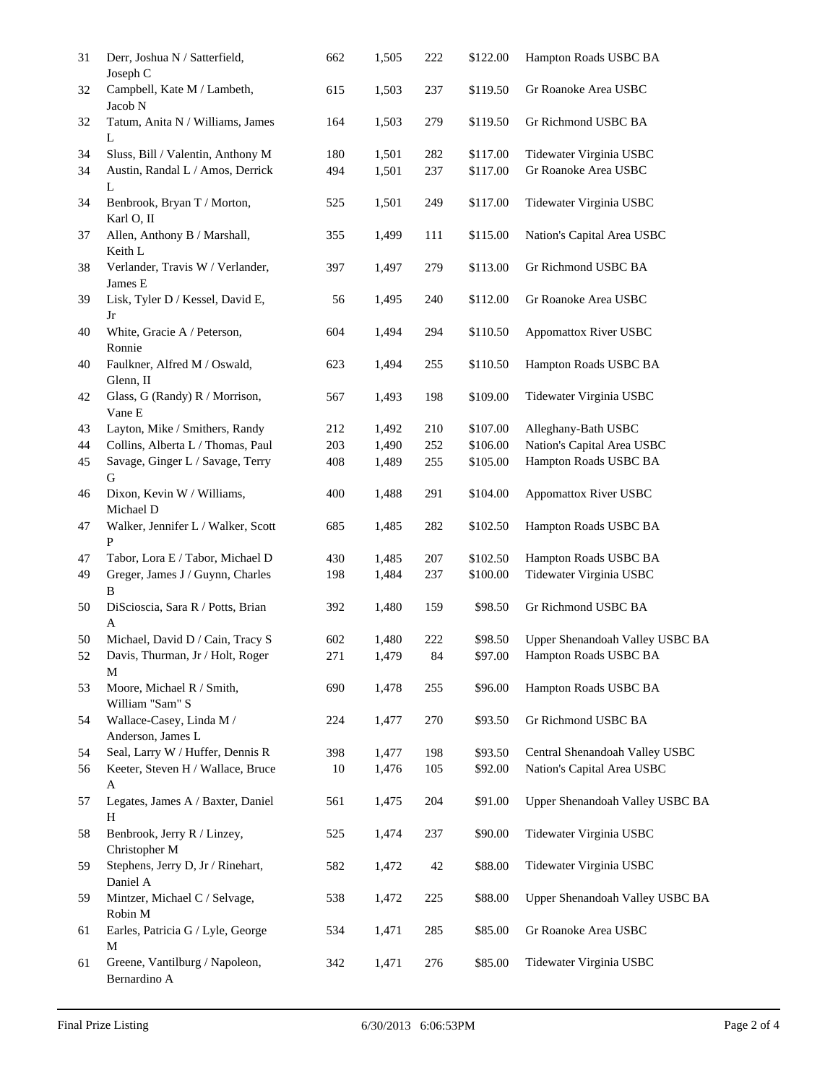| 31 | Derr, Joshua N / Satterfield,<br>Joseph C         | 662 | 1,505 | 222 | \$122.00 | Hampton Roads USBC BA           |
|----|---------------------------------------------------|-----|-------|-----|----------|---------------------------------|
| 32 | Campbell, Kate M / Lambeth,<br>Jacob N            | 615 | 1,503 | 237 | \$119.50 | Gr Roanoke Area USBC            |
| 32 | Tatum, Anita N / Williams, James<br>L             | 164 | 1,503 | 279 | \$119.50 | Gr Richmond USBC BA             |
| 34 | Sluss, Bill / Valentin, Anthony M                 | 180 | 1,501 | 282 | \$117.00 | Tidewater Virginia USBC         |
| 34 | Austin, Randal L / Amos, Derrick<br>L             | 494 | 1,501 | 237 | \$117.00 | Gr Roanoke Area USBC            |
| 34 | Benbrook, Bryan T / Morton,<br>Karl O, II         | 525 | 1,501 | 249 | \$117.00 | Tidewater Virginia USBC         |
| 37 | Allen, Anthony B / Marshall,<br>Keith L           | 355 | 1,499 | 111 | \$115.00 | Nation's Capital Area USBC      |
| 38 | Verlander, Travis W / Verlander,<br>James E       | 397 | 1,497 | 279 | \$113.00 | Gr Richmond USBC BA             |
| 39 | Lisk, Tyler D / Kessel, David E,<br>Jr            | 56  | 1,495 | 240 | \$112.00 | Gr Roanoke Area USBC            |
| 40 | White, Gracie A / Peterson,<br>Ronnie             | 604 | 1,494 | 294 | \$110.50 | Appomattox River USBC           |
| 40 | Faulkner, Alfred M / Oswald,<br>Glenn, II         | 623 | 1,494 | 255 | \$110.50 | Hampton Roads USBC BA           |
| 42 | Glass, G (Randy) R / Morrison,<br>Vane E          | 567 | 1,493 | 198 | \$109.00 | Tidewater Virginia USBC         |
| 43 | Layton, Mike / Smithers, Randy                    | 212 | 1,492 | 210 | \$107.00 | Alleghany-Bath USBC             |
| 44 | Collins, Alberta L / Thomas, Paul                 | 203 | 1,490 | 252 | \$106.00 | Nation's Capital Area USBC      |
| 45 | Savage, Ginger L / Savage, Terry<br>G             | 408 | 1,489 | 255 | \$105.00 | Hampton Roads USBC BA           |
| 46 | Dixon, Kevin W / Williams,<br>Michael D           | 400 | 1,488 | 291 | \$104.00 | Appomattox River USBC           |
| 47 | Walker, Jennifer L / Walker, Scott<br>P           | 685 | 1,485 | 282 | \$102.50 | Hampton Roads USBC BA           |
| 47 | Tabor, Lora E / Tabor, Michael D                  | 430 | 1,485 | 207 | \$102.50 | Hampton Roads USBC BA           |
| 49 | Greger, James J / Guynn, Charles<br>B             | 198 | 1,484 | 237 | \$100.00 | Tidewater Virginia USBC         |
| 50 | DiScioscia, Sara R / Potts, Brian<br>A            | 392 | 1,480 | 159 | \$98.50  | Gr Richmond USBC BA             |
| 50 | Michael, David D / Cain, Tracy S                  | 602 | 1,480 | 222 | \$98.50  | Upper Shenandoah Valley USBC BA |
| 52 | Davis, Thurman, Jr / Holt, Roger<br>M             | 271 | 1,479 | 84  | \$97.00  | Hampton Roads USBC BA           |
| 53 | Moore, Michael R / Smith,<br>William "Sam" S      | 690 | 1,478 | 255 | \$96.00  | Hampton Roads USBC BA           |
| 54 | Wallace-Casey, Linda M /<br>Anderson, James L     | 224 | 1,477 | 270 | \$93.50  | Gr Richmond USBC BA             |
| 54 | Seal, Larry W / Huffer, Dennis R                  | 398 | 1,477 | 198 | \$93.50  | Central Shenandoah Valley USBC  |
| 56 | Keeter, Steven H / Wallace, Bruce<br>$\mathbf{A}$ | 10  | 1,476 | 105 | \$92.00  | Nation's Capital Area USBC      |
| 57 | Legates, James A / Baxter, Daniel<br>H            | 561 | 1,475 | 204 | \$91.00  | Upper Shenandoah Valley USBC BA |
| 58 | Benbrook, Jerry R / Linzey,<br>Christopher M      | 525 | 1,474 | 237 | \$90.00  | Tidewater Virginia USBC         |
| 59 | Stephens, Jerry D, Jr / Rinehart,<br>Daniel A     | 582 | 1,472 | 42  | \$88.00  | Tidewater Virginia USBC         |
| 59 | Mintzer, Michael C / Selvage,<br>Robin M          | 538 | 1,472 | 225 | \$88.00  | Upper Shenandoah Valley USBC BA |
| 61 | Earles, Patricia G / Lyle, George<br>$\mathbf M$  | 534 | 1,471 | 285 | \$85.00  | Gr Roanoke Area USBC            |
| 61 | Greene, Vantilburg / Napoleon,<br>Bernardino A    | 342 | 1,471 | 276 | \$85.00  | Tidewater Virginia USBC         |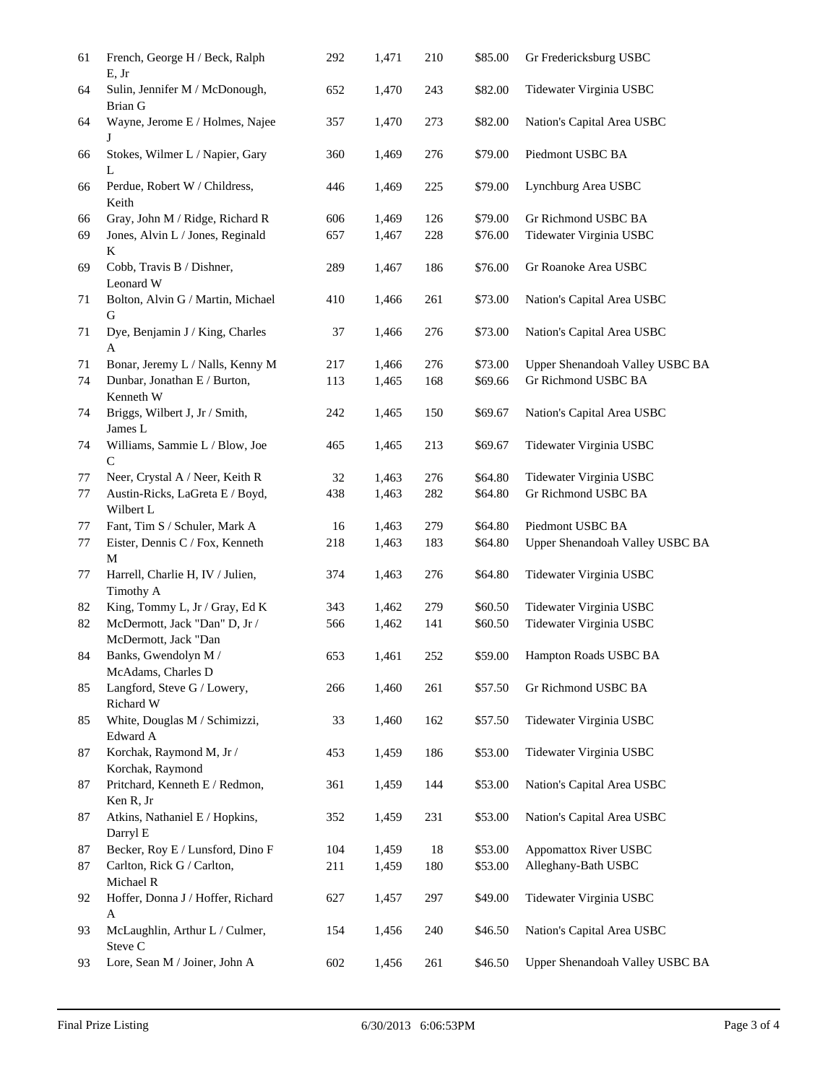| 61 | French, George H / Beck, Ralph<br>E, Jr          | 292 | 1,471 | 210 | \$85.00 | Gr Fredericksburg USBC          |
|----|--------------------------------------------------|-----|-------|-----|---------|---------------------------------|
| 64 | Sulin, Jennifer M / McDonough,<br><b>Brian G</b> | 652 | 1,470 | 243 | \$82.00 | Tidewater Virginia USBC         |
| 64 | Wayne, Jerome E / Holmes, Najee<br>J             | 357 | 1,470 | 273 | \$82.00 | Nation's Capital Area USBC      |
| 66 | Stokes, Wilmer L / Napier, Gary<br>L             | 360 | 1,469 | 276 | \$79.00 | Piedmont USBC BA                |
| 66 | Perdue, Robert W / Childress,<br>Keith           | 446 | 1,469 | 225 | \$79.00 | Lynchburg Area USBC             |
| 66 | Gray, John M / Ridge, Richard R                  | 606 | 1,469 | 126 | \$79.00 | Gr Richmond USBC BA             |
| 69 | Jones, Alvin L / Jones, Reginald<br>K            | 657 | 1,467 | 228 | \$76.00 | Tidewater Virginia USBC         |
| 69 | Cobb, Travis B / Dishner,<br>Leonard W           | 289 | 1,467 | 186 | \$76.00 | Gr Roanoke Area USBC            |
| 71 | Bolton, Alvin G / Martin, Michael<br>G           | 410 | 1,466 | 261 | \$73.00 | Nation's Capital Area USBC      |
| 71 | Dye, Benjamin J / King, Charles<br>A             | 37  | 1,466 | 276 | \$73.00 | Nation's Capital Area USBC      |
| 71 | Bonar, Jeremy L / Nalls, Kenny M                 | 217 | 1,466 | 276 | \$73.00 | Upper Shenandoah Valley USBC BA |
| 74 | Dunbar, Jonathan E / Burton,<br>Kenneth W        | 113 | 1,465 | 168 | \$69.66 | Gr Richmond USBC BA             |
| 74 | Briggs, Wilbert J, Jr / Smith,<br>James L        | 242 | 1,465 | 150 | \$69.67 | Nation's Capital Area USBC      |
| 74 | Williams, Sammie L / Blow, Joe<br>$\mathcal{C}$  | 465 | 1,465 | 213 | \$69.67 | Tidewater Virginia USBC         |
| 77 | Neer, Crystal A / Neer, Keith R                  | 32  | 1,463 | 276 | \$64.80 | Tidewater Virginia USBC         |
| 77 | Austin-Ricks, LaGreta E / Boyd,<br>Wilbert L     | 438 | 1,463 | 282 | \$64.80 | Gr Richmond USBC BA             |
| 77 | Fant, Tim S / Schuler, Mark A                    | 16  | 1,463 | 279 | \$64.80 | Piedmont USBC BA                |
| 77 | Eister, Dennis C / Fox, Kenneth<br>M             | 218 | 1,463 | 183 | \$64.80 | Upper Shenandoah Valley USBC BA |
| 77 | Harrell, Charlie H, IV / Julien,<br>Timothy A    | 374 | 1,463 | 276 | \$64.80 | Tidewater Virginia USBC         |
| 82 | King, Tommy L, Jr / Gray, Ed K                   | 343 | 1,462 | 279 | \$60.50 | Tidewater Virginia USBC         |
| 82 | McDermott, Jack "Dan" D, Jr /                    | 566 | 1,462 | 141 | \$60.50 | Tidewater Virginia USBC         |
|    | McDermott, Jack "Dan                             |     |       |     |         |                                 |
| 84 | Banks, Gwendolyn M /<br>McAdams, Charles D       | 653 | 1,461 | 252 | \$59.00 | Hampton Roads USBC BA           |
| 85 | Langford, Steve G / Lowery,<br>Richard W         | 266 | 1,460 | 261 | \$57.50 | Gr Richmond USBC BA             |
| 85 | White, Douglas M / Schimizzi,<br>Edward A        | 33  | 1,460 | 162 | \$57.50 | Tidewater Virginia USBC         |
| 87 | Korchak, Raymond M, Jr /<br>Korchak, Raymond     | 453 | 1,459 | 186 | \$53.00 | Tidewater Virginia USBC         |
| 87 | Pritchard, Kenneth E / Redmon,<br>Ken R, Jr      | 361 | 1,459 | 144 | \$53.00 | Nation's Capital Area USBC      |
| 87 | Atkins, Nathaniel E / Hopkins,<br>Darryl E       | 352 | 1,459 | 231 | \$53.00 | Nation's Capital Area USBC      |
| 87 | Becker, Roy E / Lunsford, Dino F                 | 104 | 1,459 | 18  | \$53.00 | <b>Appomattox River USBC</b>    |
| 87 | Carlton, Rick G / Carlton,<br>Michael R          | 211 | 1,459 | 180 | \$53.00 | Alleghany-Bath USBC             |
| 92 | Hoffer, Donna J / Hoffer, Richard<br>A           | 627 | 1,457 | 297 | \$49.00 | Tidewater Virginia USBC         |
| 93 | McLaughlin, Arthur L / Culmer,<br>Steve C        | 154 | 1,456 | 240 | \$46.50 | Nation's Capital Area USBC      |
| 93 | Lore, Sean M / Joiner, John A                    | 602 | 1,456 | 261 | \$46.50 | Upper Shenandoah Valley USBC BA |